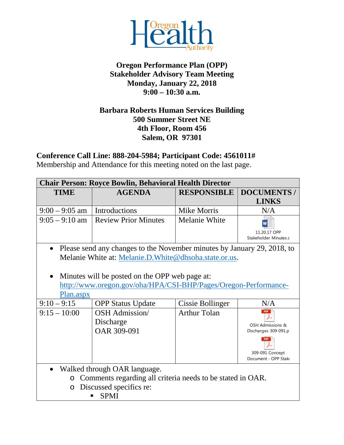

## **Oregon Performance Plan (OPP) Stakeholder Advisory Team Meeting Monday, January 22, 2018 9:00 – 10:30 a.m.**

## **Barbara Roberts Human Services Building 500 Summer Street NE 4th Floor, Room 456 Salem, OR 97301**

**Conference Call Line: 888-204-5984; Participant Code: 4561011#**

Membership and Attendance for this meeting noted on the last page.

| <b>Chair Person: Royce Bowlin, Behavioral Health Director</b>         |                                                                         |                         |                                         |  |  |
|-----------------------------------------------------------------------|-------------------------------------------------------------------------|-------------------------|-----------------------------------------|--|--|
| <b>TIME</b>                                                           | <b>AGENDA</b>                                                           | <b>RESPONSIBLE</b>      | <b>DOCUMENTS</b> /                      |  |  |
|                                                                       |                                                                         |                         | <b>LINKS</b>                            |  |  |
| $9:00 - 9:05$ am                                                      | Introductions                                                           | <b>Mike Morris</b>      | N/A                                     |  |  |
| $9:05 - 9:10$ am                                                      | <b>Review Prior Minutes</b>                                             | Melanie White           |                                         |  |  |
|                                                                       |                                                                         |                         | 11.20.17 OPP<br>Stakeholder Minutes.c   |  |  |
| $\bullet$                                                             | Please send any changes to the November minutes by January 29, 2018, to |                         |                                         |  |  |
|                                                                       | Melanie White at: Melanie.D. White@dhsoha.state.or.us.                  |                         |                                         |  |  |
|                                                                       |                                                                         |                         |                                         |  |  |
|                                                                       | Minutes will be posted on the OPP web page at:                          |                         |                                         |  |  |
|                                                                       | http://www.oregon.gov/oha/HPA/CSI-BHP/Pages/Oregon-Performance-         |                         |                                         |  |  |
| Plan.aspx                                                             |                                                                         |                         |                                         |  |  |
| $9:10 - 9:15$                                                         | <b>OPP Status Update</b>                                                | <b>Cissie Bollinger</b> | N/A                                     |  |  |
| $9:15 - 10:00$                                                        | OSH Admission/                                                          | <b>Arthur Tolan</b>     | PDF                                     |  |  |
|                                                                       | Discharge                                                               |                         | OSH Admissions &                        |  |  |
|                                                                       | OAR 309-091                                                             |                         | Discharges 309-091.p                    |  |  |
|                                                                       |                                                                         |                         |                                         |  |  |
|                                                                       |                                                                         |                         | 309-091 Concept<br>Document - OPP Stake |  |  |
| Walked through OAR language.<br>$\bullet$                             |                                                                         |                         |                                         |  |  |
| Comments regarding all criteria needs to be stated in OAR.<br>$\circ$ |                                                                         |                         |                                         |  |  |
| Discussed specifics re:<br>$\circ$                                    |                                                                         |                         |                                         |  |  |
| <b>SPMI</b>                                                           |                                                                         |                         |                                         |  |  |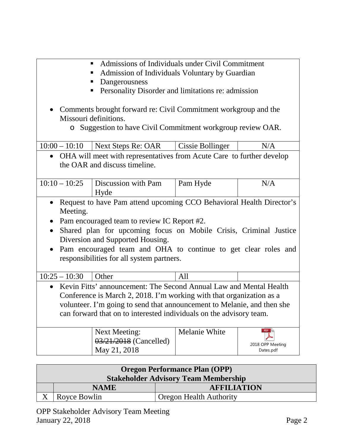- Admissions of Individuals under Civil Commitment
- Admission of Individuals Voluntary by Guardian
- **Dangerousness**
- **Personality Disorder and limitations re: admission**
- Comments brought forward re: Civil Commitment workgroup and the Missouri definitions.
	- o Suggestion to have Civil Commitment workgroup review OAR.

| $10:00 - 10:10$                                                                   | Next Steps Re: OAR                                                 | <b>Cissie Bollinger</b> | N/A              |  |  |
|-----------------------------------------------------------------------------------|--------------------------------------------------------------------|-------------------------|------------------|--|--|
| OHA will meet with representatives from Acute Care to further develop             |                                                                    |                         |                  |  |  |
| the OAR and discuss timeline.                                                     |                                                                    |                         |                  |  |  |
|                                                                                   |                                                                    |                         |                  |  |  |
| $10:10 - 10:25$                                                                   | Discussion with Pam                                                | Pam Hyde                | N/A              |  |  |
|                                                                                   | Hyde                                                               |                         |                  |  |  |
| Request to have Pam attend upcoming CCO Behavioral Health Director's<br>$\bullet$ |                                                                    |                         |                  |  |  |
| Meeting.                                                                          |                                                                    |                         |                  |  |  |
|                                                                                   | Pam encouraged team to review IC Report #2.                        |                         |                  |  |  |
|                                                                                   | Shared plan for upcoming focus on Mobile Crisis, Criminal Justice  |                         |                  |  |  |
|                                                                                   | Diversion and Supported Housing.                                   |                         |                  |  |  |
| Pam encouraged team and OHA to continue to get clear roles and<br>$\bullet$       |                                                                    |                         |                  |  |  |
| responsibilities for all system partners.                                         |                                                                    |                         |                  |  |  |
|                                                                                   |                                                                    |                         |                  |  |  |
| $10:25 - 10:30$                                                                   | Other                                                              | All                     |                  |  |  |
|                                                                                   | Kevin Fitts' announcement: The Second Annual Law and Mental Health |                         |                  |  |  |
| Conference is March 2, 2018. I'm working with that organization as a              |                                                                    |                         |                  |  |  |
| volunteer. I'm going to send that announcement to Melanie, and then she           |                                                                    |                         |                  |  |  |
| can forward that on to interested individuals on the advisory team.               |                                                                    |                         |                  |  |  |
|                                                                                   |                                                                    |                         |                  |  |  |
|                                                                                   | <b>Next Meeting:</b>                                               | Melanie White           | PDF              |  |  |
|                                                                                   | 03/21/2018 (Cancelled)                                             |                         | 2018 OPP Meeting |  |  |
|                                                                                   | May 21, 2018                                                       |                         | Dates.pdf        |  |  |

| <b>Oregon Performance Plan (OPP)</b>        |              |                                |  |
|---------------------------------------------|--------------|--------------------------------|--|
| <b>Stakeholder Advisory Team Membership</b> |              |                                |  |
|                                             | <b>NAME</b>  | <b>AFFILIATION</b>             |  |
|                                             | Royce Bowlin | <b>Oregon Health Authority</b> |  |